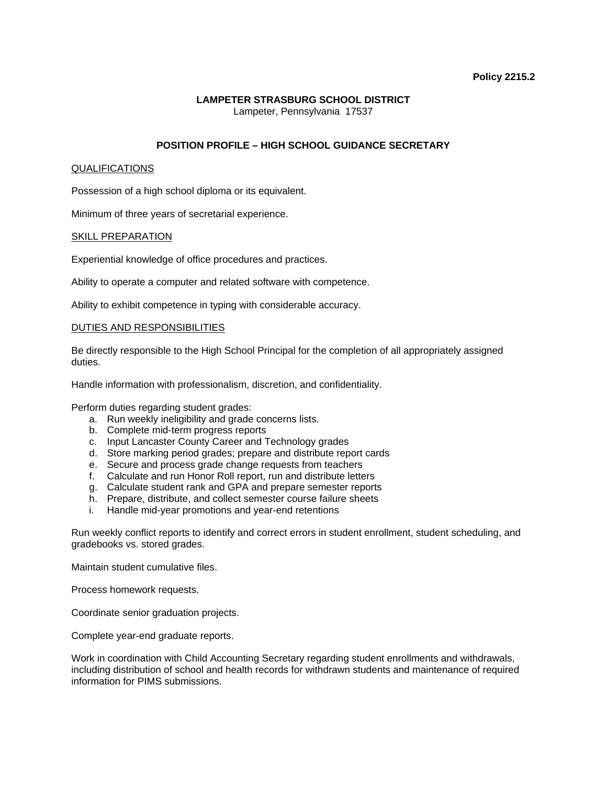# **Policy 2215.2**

### **LAMPETER STRASBURG SCHOOL DISTRICT**  Lampeter, Pennsylvania 17537

# **POSITION PROFILE – HIGH SCHOOL GUIDANCE SECRETARY**

# QUALIFICATIONS

Possession of a high school diploma or its equivalent.

Minimum of three years of secretarial experience.

# SKILL PREPARATION

Experiential knowledge of office procedures and practices.

Ability to operate a computer and related software with competence.

Ability to exhibit competence in typing with considerable accuracy.

# DUTIES AND RESPONSIBILITIES

Be directly responsible to the High School Principal for the completion of all appropriately assigned duties.

Handle information with professionalism, discretion, and confidentiality.

Perform duties regarding student grades:

- a. Run weekly ineligibility and grade concerns lists.
- b. Complete mid-term progress reports
- c. Input Lancaster County Career and Technology grades
- d. Store marking period grades; prepare and distribute report cards
- e. Secure and process grade change requests from teachers
- f. Calculate and run Honor Roll report, run and distribute letters
- g. Calculate student rank and GPA and prepare semester reports
- h. Prepare, distribute, and collect semester course failure sheets
- i. Handle mid-year promotions and year-end retentions

Run weekly conflict reports to identify and correct errors in student enrollment, student scheduling, and gradebooks vs. stored grades.

Maintain student cumulative files.

Process homework requests.

Coordinate senior graduation projects.

Complete year-end graduate reports.

Work in coordination with Child Accounting Secretary regarding student enrollments and withdrawals, including distribution of school and health records for withdrawn students and maintenance of required information for PIMS submissions.